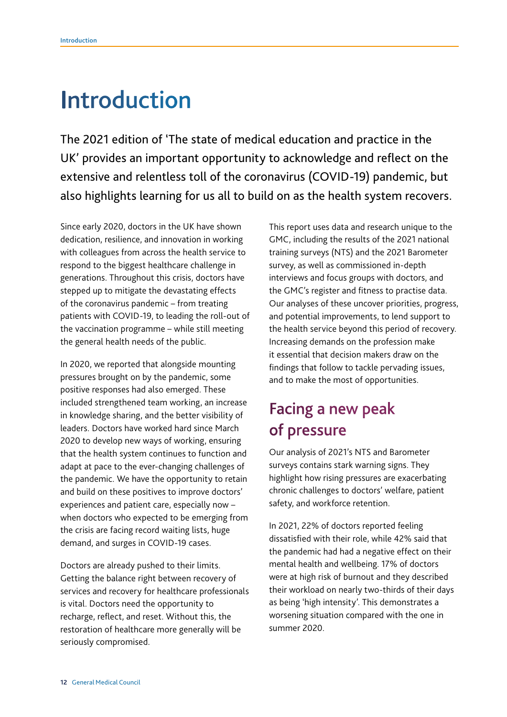# Introduction

The 2021 edition of 'The state of medical education and practice in the UK' provides an important opportunity to acknowledge and reflect on the extensive and relentless toll of the coronavirus (COVID-19) pandemic, but also highlights learning for us all to build on as the health system recovers.

Since early 2020, doctors in the UK have shown dedication, resilience, and innovation in working with colleagues from across the health service to respond to the biggest healthcare challenge in generations. Throughout this crisis, doctors have stepped up to mitigate the devastating effects of the coronavirus pandemic – from treating patients with COVID-19, to leading the roll-out of the vaccination programme – while still meeting the general health needs of the public.

In 2020, we reported that alongside mounting pressures brought on by the pandemic, some positive responses had also emerged. These included strengthened team working, an increase in knowledge sharing, and the better visibility of leaders. Doctors have worked hard since March 2020 to develop new ways of working, ensuring that the health system continues to function and adapt at pace to the ever-changing challenges of the pandemic. We have the opportunity to retain and build on these positives to improve doctors' experiences and patient care, especially now – when doctors who expected to be emerging from the crisis are facing record waiting lists, huge demand, and surges in COVID-19 cases.

Doctors are already pushed to their limits. Getting the balance right between recovery of services and recovery for healthcare professionals is vital. Doctors need the opportunity to recharge, reflect, and reset. Without this, the restoration of healthcare more generally will be seriously compromised.

This report uses data and research unique to the GMC, including the results of the 2021 national training surveys (NTS) and the 2021 Barometer survey, as well as commissioned in-depth interviews and focus groups with doctors, and the GMC's register and fitness to practise data. Our analyses of these uncover priorities, progress, and potential improvements, to lend support to the health service beyond this period of recovery. Increasing demands on the profession make it essential that decision makers draw on the findings that follow to tackle pervading issues, and to make the most of opportunities.

## Facing a new peak of pressure

Our analysis of 2021's NTS and Barometer surveys contains stark warning signs. They highlight how rising pressures are exacerbating chronic challenges to doctors' welfare, patient safety, and workforce retention.

In 2021, 22% of doctors reported feeling dissatisfed with their role, while 42% said that the pandemic had had a negative effect on their mental health and wellbeing. 17% of doctors were at high risk of burnout and they described their workload on nearly two-thirds of their days as being 'high intensity'. This demonstrates a worsening situation compared with the one in summer 2020.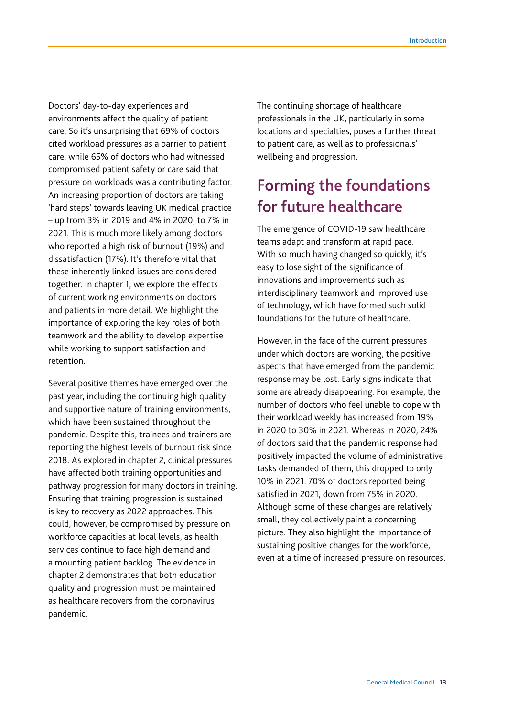Doctors' day-to-day experiences and environments affect the quality of patient care. So it's unsurprising that 69% of doctors cited workload pressures as a barrier to patient care, while 65% of doctors who had witnessed compromised patient safety or care said that pressure on workloads was a contributing factor. An increasing proportion of doctors are taking 'hard steps' towards leaving UK medical practice – up from 3% in 2019 and 4% in 2020, to 7% in 2021. This is much more likely among doctors who reported a high risk of burnout (19%) and dissatisfaction (17%). It's therefore vital that these inherently linked issues are considered together. In chapter 1, we explore the effects of current working environments on doctors and patients in more detail. We highlight the importance of exploring the key roles of both teamwork and the ability to develop expertise while working to support satisfaction and retention.

Several positive themes have emerged over the past year, including the continuing high quality and supportive nature of training environments, which have been sustained throughout the pandemic. Despite this, trainees and trainers are reporting the highest levels of burnout risk since 2018. As explored in chapter 2, clinical pressures have affected both training opportunities and pathway progression for many doctors in training. Ensuring that training progression is sustained is key to recovery as 2022 approaches. This could, however, be compromised by pressure on workforce capacities at local levels, as health services continue to face high demand and a mounting patient backlog. The evidence in chapter 2 demonstrates that both education quality and progression must be maintained as healthcare recovers from the coronavirus pandemic.

The continuing shortage of healthcare professionals in the UK, particularly in some locations and specialties, poses a further threat to patient care, as well as to professionals' wellbeing and progression.

### Forming the foundations for future healthcare

The emergence of COVID-19 saw healthcare teams adapt and transform at rapid pace. With so much having changed so quickly, it's easy to lose sight of the signifcance of innovations and improvements such as interdisciplinary teamwork and improved use of technology, which have formed such solid foundations for the future of healthcare.

However, in the face of the current pressures under which doctors are working, the positive aspects that have emerged from the pandemic response may be lost. Early signs indicate that some are already disappearing. For example, the number of doctors who feel unable to cope with their workload weekly has increased from 19% in 2020 to 30% in 2021. Whereas in 2020, 24% of doctors said that the pandemic response had positively impacted the volume of administrative tasks demanded of them, this dropped to only 10% in 2021. 70% of doctors reported being satisfed in 2021, down from 75% in 2020. Although some of these changes are relatively small, they collectively paint a concerning picture. They also highlight the importance of sustaining positive changes for the workforce, even at a time of increased pressure on resources.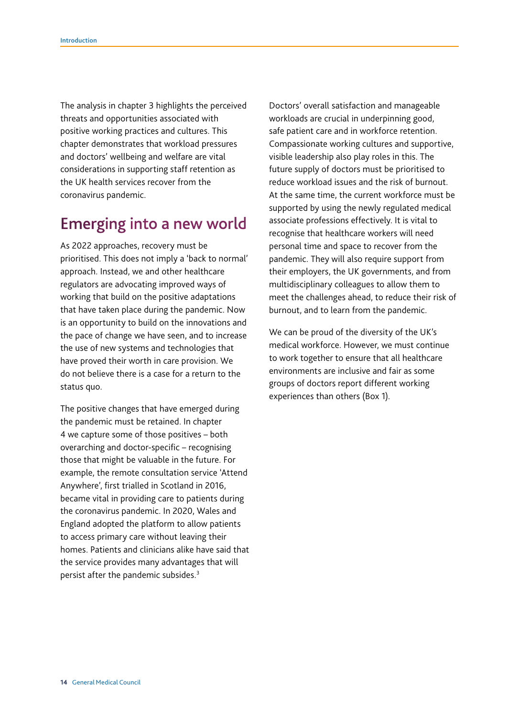The analysis in chapter 3 highlights the perceived threats and opportunities associated with positive working practices and cultures. This chapter demonstrates that workload pressures and doctors' wellbeing and welfare are vital considerations in supporting staff retention as the UK health services recover from the coronavirus pandemic.

#### Emerging into a new world

As 2022 approaches, recovery must be prioritised. This does not imply a 'back to normal' approach. Instead, we and other healthcare regulators are advocating improved ways of working that build on the positive adaptations that have taken place during the pandemic. Now is an opportunity to build on the innovations and the pace of change we have seen, and to increase the use of new systems and technologies that have proved their worth in care provision. We do not believe there is a case for a return to the status quo.

The positive changes that have emerged during the pandemic must be retained. In chapter 4 we capture some of those positives – both overarching and doctor-specific – recognising those that might be valuable in the future. For example, the remote consultation service 'Attend Anywhere', frst trialled in Scotland in 2016, became vital in providing care to patients during the coronavirus pandemic. In 2020, Wales and England adopted the platform to allow patients to access primary care without leaving their homes. Patients and clinicians alike have said that the service provides many advantages that will persist after the pandemic subsides.3

Doctors' overall satisfaction and manageable workloads are crucial in underpinning good, safe patient care and in workforce retention. Compassionate working cultures and supportive, visible leadership also play roles in this. The future supply of doctors must be prioritised to reduce workload issues and the risk of burnout. At the same time, the current workforce must be supported by using the newly regulated medical associate professions effectively. It is vital to recognise that healthcare workers will need personal time and space to recover from the pandemic. They will also require support from their employers, the UK governments, and from multidisciplinary colleagues to allow them to meet the challenges ahead, to reduce their risk of burnout, and to learn from the pandemic.

We can be proud of the diversity of the UK's medical workforce. However, we must continue to work together to ensure that all healthcare environments are inclusive and fair as some groups of doctors report different working experiences than others (Box 1).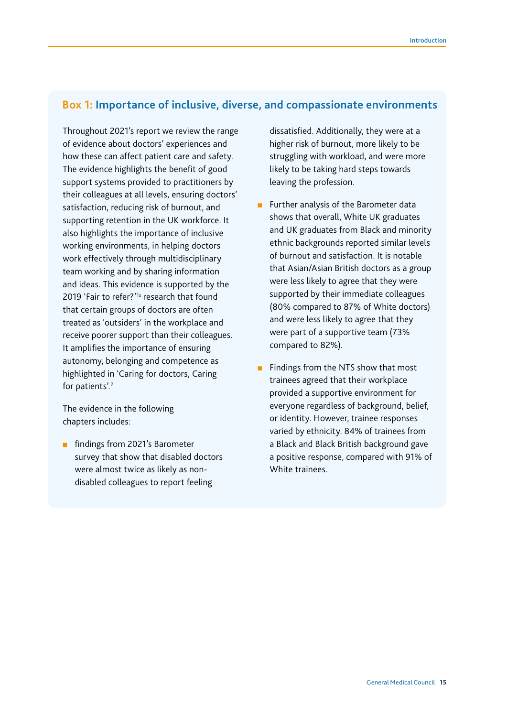#### **Box 1: Importance of inclusive, diverse, and compassionate environments**

Throughout 2021's report we review the range of evidence about doctors' experiences and how these can affect patient care and safety. The evidence highlights the benefit of good support systems provided to practitioners by their colleagues at all levels, ensuring doctors' satisfaction, reducing risk of burnout, and supporting retention in the UK workforce. It also highlights the importance of inclusive working environments, in helping doctors work effectively through multidisciplinary team working and by sharing information and ideas. This evidence is supported by the 2019 'Fair to refer?'<sup>1s</sup> research that found that certain groups of doctors are often treated as 'outsiders' in the workplace and receive poorer support than their colleagues. It amplifies the importance of ensuring autonomy, belonging and competence as highlighted in 'Caring for doctors, Caring for patients'.<sup>2</sup>

The evidence in the following chapters includes:

■ findings from 2021's Barometer survey that show that disabled doctors were almost twice as likely as nondisabled colleagues to report feeling

dissatisfed. Additionally, they were at a higher risk of burnout, more likely to be struggling with workload, and were more likely to be taking hard steps towards leaving the profession.

- Further analysis of the Barometer data shows that overall, White UK graduates and UK graduates from Black and minority ethnic backgrounds reported similar levels of burnout and satisfaction. It is notable that Asian/Asian British doctors as a group were less likely to agree that they were supported by their immediate colleagues (80% compared to 87% of White doctors) and were less likely to agree that they were part of a supportive team (73% compared to 82%).
- Findings from the NTS show that most trainees agreed that their workplace provided a supportive environment for everyone regardless of background, belief, or identity. However, trainee responses varied by ethnicity. 84% of trainees from a Black and Black British background gave a positive response, compared with 91% of White trainees.